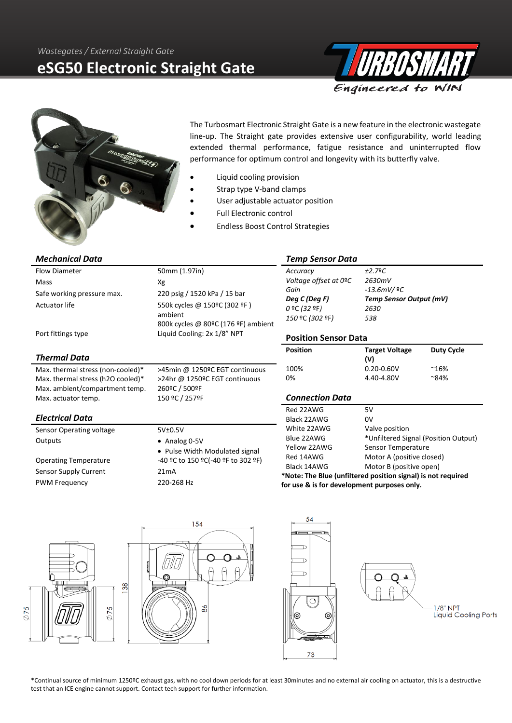# **eSG50 Electronic Straight Gate**





The Turbosmart Electronic Straight Gate is a new feature in the electronic wastegate line-up. The Straight gate provides extensive user configurability, world leading extended thermal performance, fatigue resistance and uninterrupted flow performance for optimum control and longevity with its butterfly valve.

- Liquid cooling provision
- Strap type V-band clamps
- User adjustable actuator position
- Full Electronic control
- Endless Boost Control Strategies

#### *Mechanical Data* Flow Diameter 50mm (1.97in) Mass Xg Safe working pressure max. 220 psig / 1520 kPa / 15 bar Actuator life 550k cycles @ 150°C (302 °F) ambient 800k cycles @ 80ºC (176 ºF) ambient Port fittings type Liquid Cooling: 2x 1/8" NPT *Thermal Data* Max. thermal stress (non-cooled)\* >45min @ 1250ºC EGT continuous Max. thermal stress (h2O cooled)\* >24hr @ 1250ºC EGT continuous Max. ambient/compartment temp. 260ºC / 500ºF Max. actuator temp. 150 °C / 257°F *Electrical Data* Sensor Operating voltage 5V±0.5V Outputs • Analog 0-5V • Pulse Width Modulated signal Operating Temperature -40 ºC to 150 ºC(-40 ºF to 302 ºF) Sensor Supply Current 21mA PWM Frequency 220-268 Hz *Temp Sensor Data Accuracy ±2.7*º*C Voltage offset at 0*º*C 2630mV Gain -13.6mV/* º*C Deg C (Deg F) Temp Sensor Output (mV) 0* ºC *(32* ºF*) 2630 150* ºC *(302* ºF*) 538* **Position Sensor Data Position Target Voltage (V) Duty Cycle**  100% 0.20-0.60V ~16% 0% 4.40-4.80V ~84% *Connection Data* Red 22AWG 5V Black 22AWG 0V White 22AWG Valve position Blue 22AWG **\***Unfiltered Signal (Position Output) Yellow 22AWG Sensor Temperature Red 14AWG Motor A (positive closed) Black 14AWG Motor B (positive open) **\*Note: The Blue (unfiltered position signal) is not required for use & is for development purposes only.**

54 154 ◯ ∩ D 88  $\curvearrowright$  $8<sup>o</sup>$  $1/8"$  NPT 75 Liquid Cooling Ports |ල ତି A 73

\*Continual source of minimum 1250ºC exhaust gas, with no cool down periods for at least 30minutes and no external air cooling on actuator, this is a destructive test that an ICE engine cannot support. Contact tech support for further information.